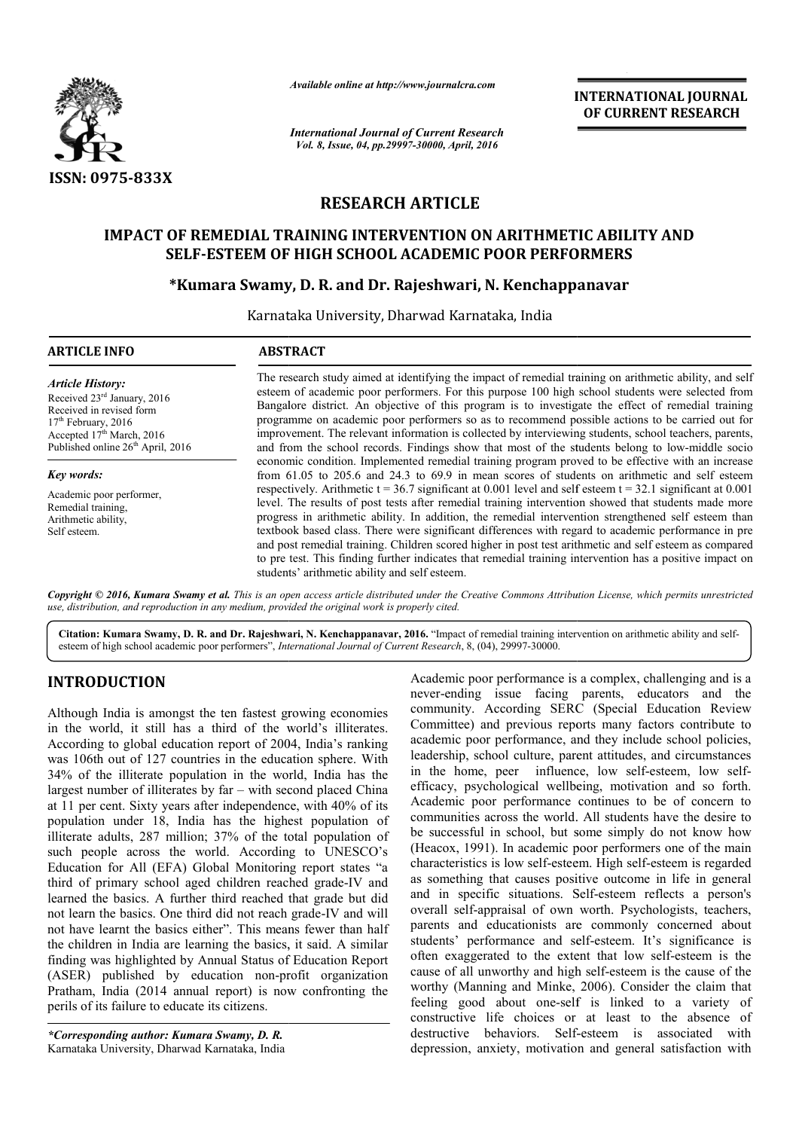

*Available online at http://www.journalcra.com*

*International Journal of Current Research Vol. 8, Issue, 04, pp.29997-30000, April, 2016*

**INTERNATIONAL JOURNAL OF CURRENT RESEARCH** 

# **RESEARCH ARTICLE**

# **IMPACT OF REMEDIAL TRAINING INTERVENTION ON ARITHMETIC ABILITY AND SELF-ESTEEM OF HIGH SCHOOL ACADEMIC POOR PERFORMERS SCHOOL ACADEMIC**

# **SELF-ESTEEM OF HIGH SCHOOL ACADEMIC POOR PERFORMERS<br>\*Kumara Swamy, D. R. and Dr. Rajeshwari, N. Kenchappanavar**

Karnataka University, Dharwad Karnataka, India

| <b>ARTICLE INFO</b>                                                                                                                                                                                                                                                                                          | <b>ABSTRACT</b>                                                                                                                                                                                                                                                                                                                                                                                                                                                                                                                                                                                                                                                                                                                                                                                                                                                                                                    |  |  |  |  |
|--------------------------------------------------------------------------------------------------------------------------------------------------------------------------------------------------------------------------------------------------------------------------------------------------------------|--------------------------------------------------------------------------------------------------------------------------------------------------------------------------------------------------------------------------------------------------------------------------------------------------------------------------------------------------------------------------------------------------------------------------------------------------------------------------------------------------------------------------------------------------------------------------------------------------------------------------------------------------------------------------------------------------------------------------------------------------------------------------------------------------------------------------------------------------------------------------------------------------------------------|--|--|--|--|
| <b>Article History:</b><br>Received 23 <sup>rd</sup> January, 2016<br>Received in revised form<br>$17th$ February, 2016<br>Accepted 17th March, 2016<br>Published online 26 <sup>th</sup> April, 2016<br>Key words:<br>Academic poor performer,<br>Remedial training.<br>Arithmetic ability,<br>Self esteem. | The research study aimed at identifying the impact of remedial training on arithmetic ability, and self<br>esteem of academic poor performers. For this purpose 100 high school students were selected from<br>Bangalore district. An objective of this program is to investigate the effect of remedial training<br>programme on academic poor performers so as to recommend possible actions to be carried out for<br>improvement. The relevant information is collected by interviewing students, school teachers, parents,<br>and from the school records. Findings show that most of the students belong to low-middle socio                                                                                                                                                                                                                                                                                  |  |  |  |  |
|                                                                                                                                                                                                                                                                                                              | economic condition. Implemented remedial training program proved to be effective with an increase<br>from 61.05 to 205.6 and 24.3 to 69.9 in mean scores of students on arithmetic and self esteem<br>respectively. Arithmetic $t = 36.7$ significant at 0.001 level and self esteem $t = 32.1$ significant at 0.001<br>level. The results of post tests after remedial training intervention showed that students made more<br>progress in arithmetic ability. In addition, the remedial intervention strengthened self esteem than<br>textbook based class. There were significant differences with regard to academic performance in pre<br>and post remedial training. Children scored higher in post test arithmetic and self esteem as compared<br>to pre test. This finding further indicates that remedial training intervention has a positive impact on<br>students' arithmetic ability and self esteem. |  |  |  |  |

Copyright © 2016, Kumara Swamy et al. This is an open access article distributed under the Creative Commons Attribution License, which permits unrestricted *use, distribution, and reproduction in any medium, provided the original work is properly cited.*

Citation: Kumara Swamy, D. R. and Dr. Rajeshwari, N. Kenchappanavar, 2016. "Impact of remedial training intervention on arithmetic ability and selfesteem of high school academic poor performers", *International Journal of Current Research* , 8, (04), 29997-30000.

## **INTRODUCTION**

Although India is amongst the ten fastest growing economies in the world, it still has a third of the world's illiterates. According to global education report of 2004, India's ranking was 106th out of 127 countries in the education sphere. With 34% of the illiterate population in the world, India has the largest number of illiterates by far – with second placed China at 11 per cent. Sixty years after independence, with 40% of its population under 18, India has the highest population of illiterate adults, 287 million; 37% of the total population of such people across the world. According to UNESCO's Education for All (EFA) Global Monitoring report states "a third of primary school aged children reached grade-IV and learned the basics. A further third reached that grade but did not learn the basics. One third did not reach grade grade-IV and will not have learnt the basics either". This means fewer than half the children in India are learning the basics, it said. A similar finding was highlighted by Annual Status of Education Report (ASER) published by education non-profit organization Pratham, India (2014 annual report) is now confronting the perils of its failure to educate its citizens. 87 million; 37% of the total population of<br>bss the world. According to UNESCO's<br>(EFA) Global Monitoring report states "a<br>school aged children reached grade-IV and

*\*Corresponding author: Kumara Swamy, D. R.* Karnataka University, Dharwad Karnataka, India

Academic poor performance is a complex, challenging and is a<br>growing economies incommunity. According SERC (Special Education Review<br>world's illiterates.<br>Committee) and previous reports many factors and the<br>veribute to<br>004 never-ending issue facing parents, educators and the community. According SERC (Special Education Review Committee) and previous reports many factors contribute to academic poor performance, and they include school policies, leadership, school culture, parent attitudes, and circumstances in the home, peer influence, low self-esteem, low selfefficacy, psychological wellbeing, motivation and so forth. efficacy, psychological wellbeing, motivation and so forth.<br>Academic poor performance continues to be of concern to communities across the world. All students have the desire to be successful in school, but some simply do not know how (Heacox, 1991). In academic poor performers one of the main characteristics is low self-esteem. High self as something that causes positive outcome in life in general as something that causes positive outcome in life in general and in specific situations. Self-esteem reflects a person's overall self-appraisal of own worth. Psychologists, teachers, parents and educationists are commonly concerned about students' performance and self-esteem. It's significance is often exaggerated to the extent that low self-esteem is the cause of all unworthy and high self-esteem is the cause of the worthy (Manning and Minke, 2006). Consider the claim that feeling good about one-self is linked to a variety of constructive life choices or at least to the absence of feeling good about one-self is linked to a variety of constructive life choices or at least to the absence of destructive behaviors. Self-esteem is associated with depression, anxiety, motivation and general satisfaction with mic poor performance is a complex, challenging and is a<br>ending issue facing parents, educators and the<br>unity. According SERC (Special Education Review<br>inttee) and previous reports many factors contribute to<br>mic poor perfor school, but some simply do not know how<br>In academic poor performers one of the main<br>low self-esteem. High self-esteem is regarded rall self-appraisal of own worth. Psychologists, teachers, ants and educationists are commonly concerned about ents' performance and self-esteem. It's significance is **TERNATIONAL JOURNAL FORMATIONAL JOURNAL SP CURRENT RESEARCH TO SET TO THE SET THAND MERS<br>
AND MERS<br>
AND MERS<br>
AND MERS<br>
AND MERS<br>
STAULITY AND MERS<br>
STAURES were selected from the student of the effect of remedial traini**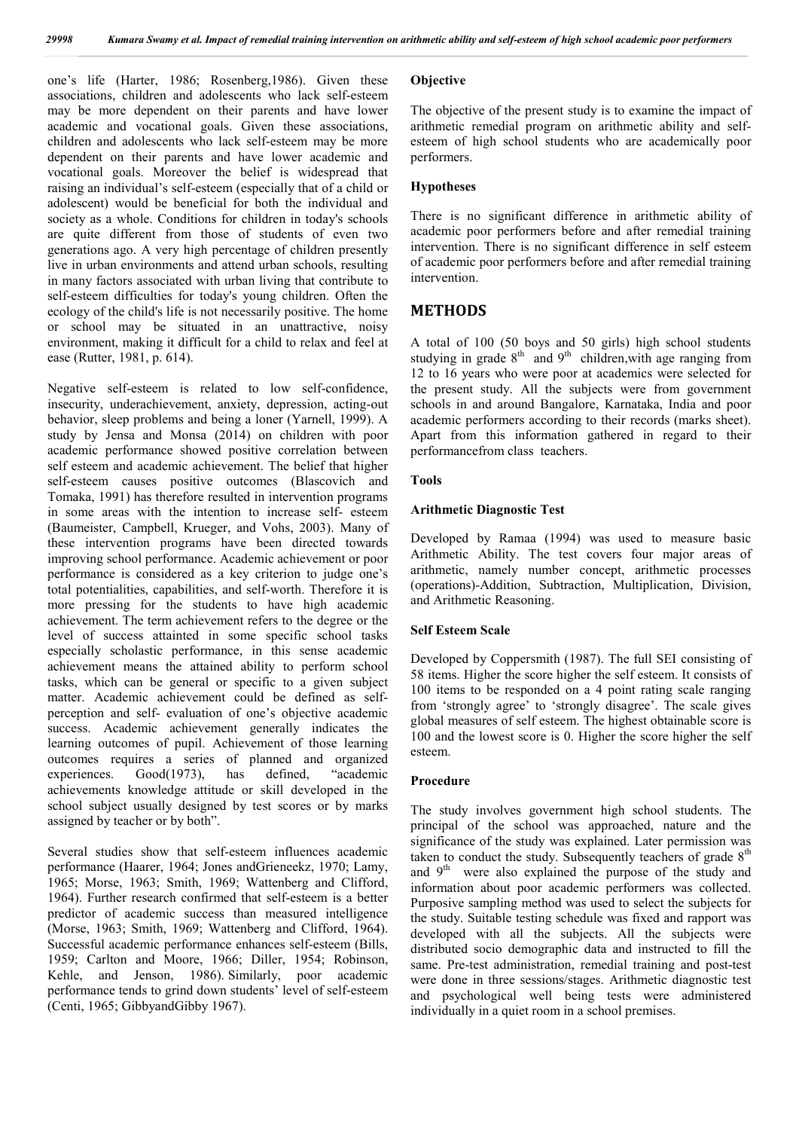one's life (Harter, 1986; Rosenberg,1986). Given these associations, children and adolescents who lack self-esteem may be more dependent on their parents and have lower academic and vocational goals. Given these associations, children and adolescents who lack self-esteem may be more dependent on their parents and have lower academic and vocational goals. Moreover the belief is widespread that raising an individual's self-esteem (especially that of a child or adolescent) would be beneficial for both the individual and society as a whole. Conditions for children in today's schools are quite different from those of students of even two generations ago. A very high percentage of children presently live in urban environments and attend urban schools, resulting in many factors associated with urban living that contribute to self-esteem difficulties for today's young children. Often the ecology of the child's life is not necessarily positive. The home or school may be situated in an unattractive, noisy environment, making it difficult for a child to relax and feel at ease (Rutter, 1981, p. 614).

Negative self-esteem is related to low self-confidence, insecurity, underachievement, anxiety, depression, acting-out behavior, sleep problems and being a loner (Yarnell, 1999). A study by Jensa and Monsa (2014) on children with poor academic performance showed positive correlation between self esteem and academic achievement. The belief that higher self-esteem causes positive outcomes (Blascovich and Tomaka, 1991) has therefore resulted in intervention programs in some areas with the intention to increase self- esteem (Baumeister, Campbell, Krueger, and Vohs, 2003). Many of these intervention programs have been directed towards improving school performance. Academic achievement or poor performance is considered as a key criterion to judge one's total potentialities, capabilities, and self-worth. Therefore it is more pressing for the students to have high academic achievement. The term achievement refers to the degree or the level of success attainted in some specific school tasks especially scholastic performance, in this sense academic achievement means the attained ability to perform school tasks, which can be general or specific to a given subject matter. Academic achievement could be defined as selfperception and self- evaluation of one's objective academic success. Academic achievement generally indicates the learning outcomes of pupil. Achievement of those learning outcomes requires a series of planned and organized experiences. Good(1973), has defined, "academic achievements knowledge attitude or skill developed in the school subject usually designed by test scores or by marks assigned by teacher or by both".

Several studies show that self-esteem influences academic performance (Haarer, 1964; Jones andGrieneekz, 1970; Lamy, 1965; Morse, 1963; Smith, 1969; Wattenberg and Clifford, 1964). Further research confirmed that self-esteem is a better predictor of academic success than measured intelligence (Morse, 1963; Smith, 1969; Wattenberg and Clifford, 1964). Successful academic performance enhances self-esteem (Bills, 1959; Carlton and Moore, 1966; Diller, 1954; Robinson, Kehle, and Jenson, 1986). Similarly, poor academic performance tends to grind down students' level of self-esteem (Centi, 1965; GibbyandGibby 1967).

#### **Objective**

The objective of the present study is to examine the impact of arithmetic remedial program on arithmetic ability and selfesteem of high school students who are academically poor performers.

#### **Hypotheses**

There is no significant difference in arithmetic ability of academic poor performers before and after remedial training intervention. There is no significant difference in self esteem of academic poor performers before and after remedial training intervention.

## **METHODS**

A total of 100 (50 boys and 50 girls) high school students studying in grade  $8<sup>th</sup>$  and  $9<sup>th</sup>$  children, with age ranging from 12 to 16 years who were poor at academics were selected for the present study. All the subjects were from government schools in and around Bangalore, Karnataka, India and poor academic performers according to their records (marks sheet). Apart from this information gathered in regard to their performancefrom class teachers.

#### **Tools**

#### **Arithmetic Diagnostic Test**

Developed by Ramaa (1994) was used to measure basic Arithmetic Ability. The test covers four major areas of arithmetic, namely number concept, arithmetic processes (operations)-Addition, Subtraction, Multiplication, Division, and Arithmetic Reasoning.

#### **Self Esteem Scale**

Developed by Coppersmith (1987). The full SEI consisting of 58 items. Higher the score higher the self esteem. It consists of 100 items to be responded on a 4 point rating scale ranging from 'strongly agree' to 'strongly disagree'. The scale gives global measures of self esteem. The highest obtainable score is 100 and the lowest score is 0. Higher the score higher the self esteem.

#### **Procedure**

The study involves government high school students. The principal of the school was approached, nature and the significance of the study was explained. Later permission was taken to conduct the study. Subsequently teachers of grade  $8<sup>th</sup>$ and  $9<sup>th</sup>$  were also explained the purpose of the study and information about poor academic performers was collected. Purposive sampling method was used to select the subjects for the study. Suitable testing schedule was fixed and rapport was developed with all the subjects. All the subjects were distributed socio demographic data and instructed to fill the same. Pre-test administration, remedial training and post-test were done in three sessions/stages. Arithmetic diagnostic test and psychological well being tests were administered individually in a quiet room in a school premises.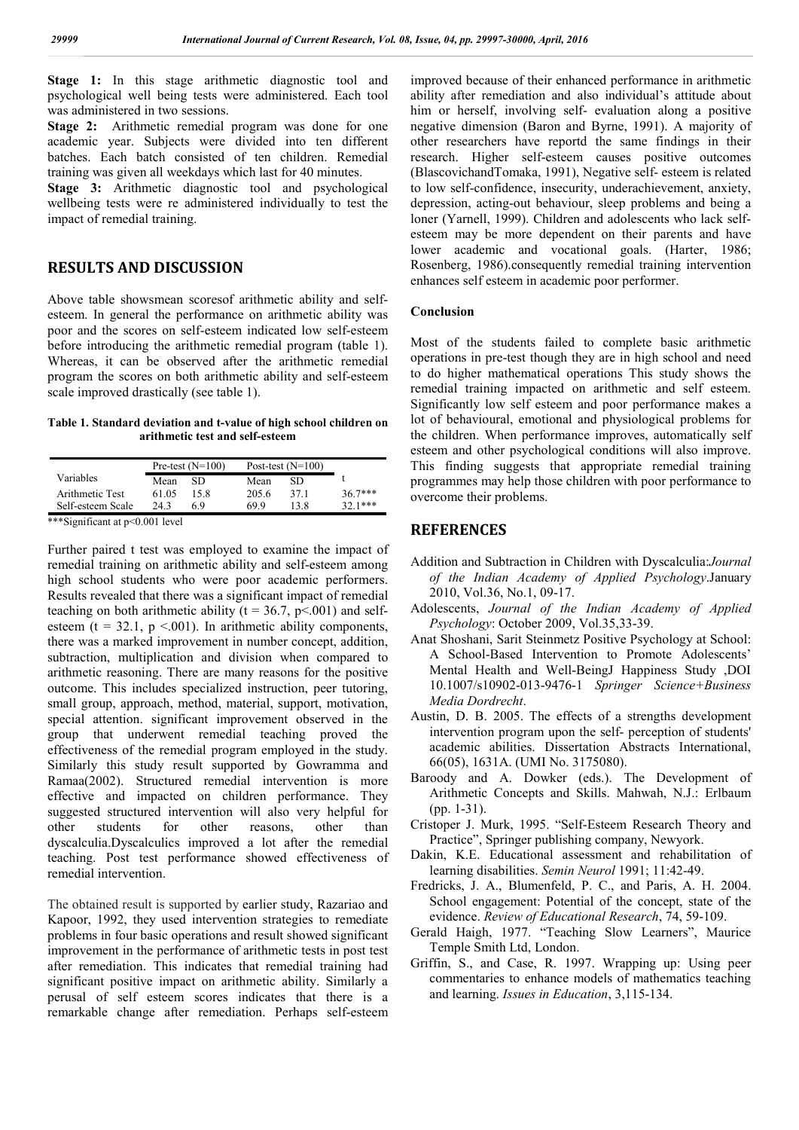**Stage 1:** In this stage arithmetic diagnostic tool and psychological well being tests were administered. Each tool was administered in two sessions.

**Stage 2:** Arithmetic remedial program was done for one academic year. Subjects were divided into ten different batches. Each batch consisted of ten children. Remedial training was given all weekdays which last for 40 minutes.

**Stage 3:** Arithmetic diagnostic tool and psychological wellbeing tests were re administered individually to test the impact of remedial training.

## **RESULTS AND DISCUSSION**

Above table showsmean scoresof arithmetic ability and selfesteem. In general the performance on arithmetic ability was poor and the scores on self-esteem indicated low self-esteem before introducing the arithmetic remedial program (table 1). Whereas, it can be observed after the arithmetic remedial program the scores on both arithmetic ability and self-esteem scale improved drastically (see table 1).

**Table 1. Standard deviation and t-value of high school children on arithmetic test and self-esteem**

|                   | Pre-test $(N=100)$ |      | Post-test $(N=100)$ |      |          |
|-------------------|--------------------|------|---------------------|------|----------|
| Variables         | Mean               | SD   | Mean                | SD   |          |
| Arithmetic Test   | 61 05              | 15 8 | 205.6               | 371  | $367***$ |
| Self-esteem Scale | 243                | 69   | 69 9                | 13 8 | $371***$ |

\*\*\*Significant at p<0.001 level

Further paired t test was employed to examine the impact of remedial training on arithmetic ability and self-esteem among high school students who were poor academic performers. Results revealed that there was a significant impact of remedial teaching on both arithmetic ability ( $t = 36.7$ ,  $p < .001$ ) and selfesteem (t =  $32.1$ , p <.001). In arithmetic ability components, there was a marked improvement in number concept, addition, subtraction, multiplication and division when compared to arithmetic reasoning. There are many reasons for the positive outcome. This includes specialized instruction, peer tutoring, small group, approach, method, material, support, motivation, special attention. significant improvement observed in the group that underwent remedial teaching proved the effectiveness of the remedial program employed in the study. Similarly this study result supported by Gowramma and Ramaa(2002). Structured remedial intervention is more effective and impacted on children performance. They suggested structured intervention will also very helpful for other students for other reasons, other than dyscalculia.Dyscalculics improved a lot after the remedial teaching. Post test performance showed effectiveness of remedial intervention.

The obtained result is supported by earlier study, Razariao and Kapoor, 1992, they used intervention strategies to remediate problems in four basic operations and result showed significant improvement in the performance of arithmetic tests in post test after remediation. This indicates that remedial training had significant positive impact on arithmetic ability. Similarly a perusal of self esteem scores indicates that there is a remarkable change after remediation. Perhaps self-esteem improved because of their enhanced performance in arithmetic ability after remediation and also individual's attitude about him or herself, involving self- evaluation along a positive negative dimension (Baron and Byrne, 1991). A majority of other researchers have reportd the same findings in their research. Higher self-esteem causes positive outcomes (BlascovichandTomaka, 1991), Negative self- esteem is related to low self-confidence, insecurity, underachievement, anxiety, depression, acting-out behaviour, sleep problems and being a loner (Yarnell, 1999). Children and adolescents who lack selfesteem may be more dependent on their parents and have lower academic and vocational goals. (Harter, 1986; Rosenberg, 1986).consequently remedial training intervention enhances self esteem in academic poor performer.

#### **Conclusion**

Most of the students failed to complete basic arithmetic operations in pre-test though they are in high school and need to do higher mathematical operations This study shows the remedial training impacted on arithmetic and self esteem. Significantly low self esteem and poor performance makes a lot of behavioural, emotional and physiological problems for the children. When performance improves, automatically self esteem and other psychological conditions will also improve. This finding suggests that appropriate remedial training programmes may help those children with poor performance to overcome their problems.

## **REFERENCES**

- Addition and Subtraction in Children with Dyscalculia:*Journal of the Indian Academy of Applied Psychology*.January 2010, Vol.36, No.1, 09-17.
- Adolescents, *Journal of the Indian Academy of Applied Psychology*: October 2009, Vol.35,33-39.
- Anat Shoshani, Sarit Steinmetz Positive Psychology at School: A School-Based Intervention to Promote Adolescents' Mental Health and Well-BeingJ Happiness Study ,DOI 10.1007/s10902-013-9476-1 *Springer Science+Business Media Dordrecht*.
- Austin, D. B. 2005. The effects of a strengths development intervention program upon the self- perception of students' academic abilities. Dissertation Abstracts International, 66(05), 1631A. (UMI No. 3175080).
- Baroody and A. Dowker (eds.). The Development of Arithmetic Concepts and Skills. Mahwah, N.J.: Erlbaum (pp. 1-31).
- Cristoper J. Murk, 1995. "Self-Esteem Research Theory and Practice", Springer publishing company, Newyork.
- Dakin, K.E. Educational assessment and rehabilitation of learning disabilities. *Semin Neurol* 1991; 11:42-49.
- Fredricks, J. A., Blumenfeld, P. C., and Paris, A. H. 2004. School engagement: Potential of the concept, state of the evidence. *Review of Educational Research*, 74, 59-109.
- Gerald Haigh, 1977. "Teaching Slow Learners", Maurice Temple Smith Ltd, London.
- Griffin, S., and Case, R. 1997. Wrapping up: Using peer commentaries to enhance models of mathematics teaching and learning. *Issues in Education*, 3,115-134.